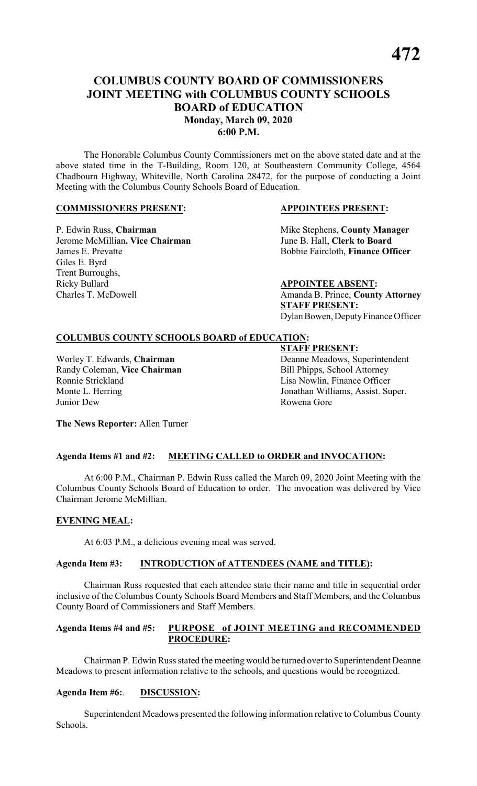# **COLUMBUS COUNTY BOARD OF COMMISSIONERS JOINT MEETING with COLUMBUS COUNTY SCHOOLS BOARD of EDUCATION Monday, March 09, 2020 6:00 P.M.**

The Honorable Columbus County Commissioners met on the above stated date and at the above stated time in the T-Building, Room 120, at Southeastern Community College, 4564 Chadbourn Highway, Whiteville, North Carolina 28472, for the purpose of conducting a Joint Meeting with the Columbus County Schools Board of Education.

#### **COMMISSIONERS PRESENT: APPOINTEES PRESENT:**

Jerome McMillian**, Vice Chairman** June B. Hall, **Clerk to Board** James E. Prevatte Bobbie Faircloth, **Finance Officer** Giles E. Byrd Trent Burroughs, Ricky Bullard **APPOINTEE ABSENT:** 

P. Edwin Russ, **Chairman** Mike Stephens, **County Manager** 

Charles T. McDowell **Amanda B. Prince, County Attorney STAFF PRESENT:** Dylan Bowen, Deputy Finance Officer

# **COLUMBUS COUNTY SCHOOLS BOARD of EDUCATION:**

Randy Coleman, **Vice Chairman**<br>Ronnie Strickland Monte L. Herring Jonathan Williams, Assist. Super. Junior Dew Rowena Gore

**STAFF PRESENT:** Worley T. Edwards, **Chairman** Deanne Meadows, Superintendent Randy Coleman, Vice Chairman Deanne Meadows, School Attorney Lisa Nowlin, Finance Officer

**The News Reporter:** Allen Turner

# **Agenda Items #1 and #2: MEETING CALLED to ORDER and INVOCATION:**

At 6:00 P.M., Chairman P. Edwin Russ called the March 09, 2020 Joint Meeting with the Columbus County Schools Board of Education to order. The invocation was delivered by Vice Chairman Jerome McMillian.

#### **EVENING MEAL:**

At 6:03 P.M., a delicious evening meal was served.

#### **Agenda Item #3: INTRODUCTION of ATTENDEES (NAME and TITLE):**

Chairman Russ requested that each attendee state their name and title in sequential order inclusive of the Columbus County Schools Board Members and Staff Members, and the Columbus County Board of Commissioners and Staff Members.

#### **Agenda Items #4 and #5: PURPOSE of JOINT MEETING and RECOMMENDED PROCEDURE:**

Chairman P. Edwin Russ stated the meeting would be turned over to Superintendent Deanne Meadows to present information relative to the schools, and questions would be recognized.

#### **Agenda Item #6:**. **DISCUSSION:**

Superintendent Meadows presented the following information relative to Columbus County Schools.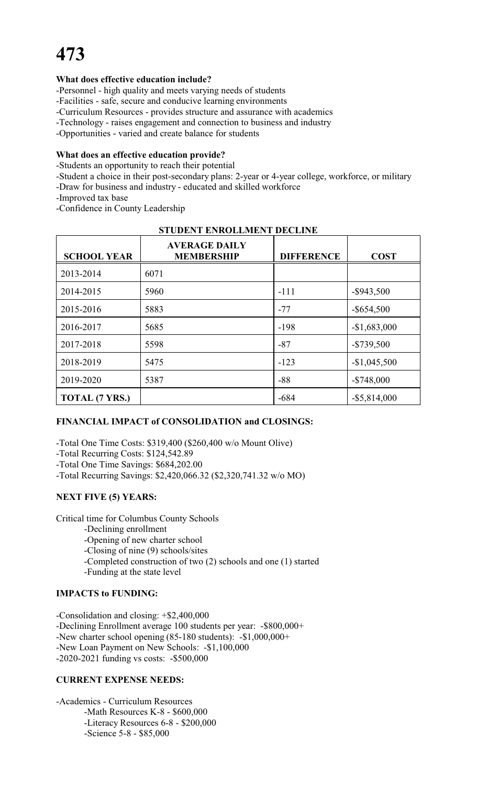# **473**

# **What does effective education include?**

-Personnel - high quality and meets varying needs of students

-Facilities - safe, secure and conducive learning environments

-Curriculum Resources - provides structure and assurance with academics

-Technology - raises engagement and connection to business and industry

-Opportunities - varied and create balance for students

### **What does an effective education provide?**

-Students an opportunity to reach their potential

- -Student a choice in their post-secondary plans: 2-year or 4-year college, workforce, or military
- -Draw for business and industry educated and skilled workforce

-Improved tax base

-Confidence in County Leadership

| <b>SCHOOL YEAR</b>    | <b>AVERAGE DAILY</b><br><b>MEMBERSHIP</b> | <b>DIFFERENCE</b> | <b>COST</b>     |
|-----------------------|-------------------------------------------|-------------------|-----------------|
| 2013-2014             | 6071                                      |                   |                 |
| 2014-2015             | 5960                                      | $-111$            | $-$ \$943,500   |
| 2015-2016             | 5883                                      | $-77$             | $-$ \$654,500   |
| 2016-2017             | 5685                                      | $-198$            | $-$1,683,000$   |
| 2017-2018             | 5598                                      | $-87$             | $-$ \$739,500   |
| 2018-2019             | 5475                                      | $-123$            | $-$1,045,500$   |
| 2019-2020             | 5387                                      | $-88$             | $-$ \$748,000   |
| <b>TOTAL (7 YRS.)</b> |                                           | $-684$            | $-$ \$5,814,000 |

#### **STUDENT ENROLLMENT DECLINE**

# **FINANCIAL IMPACT of CONSOLIDATION and CLOSINGS:**

-Total One Time Costs: \$319,400 (\$260,400 w/o Mount Olive)

-Total Recurring Costs: \$124,542.89

-Total One Time Savings: \$684,202.00

-Total Recurring Savings: \$2,420,066.32 (\$2,320,741.32 w/o MO)

# **NEXT FIVE (5) YEARS:**

Critical time for Columbus County Schools

- -Declining enrollment
- -Opening of new charter school
- -Closing of nine (9) schools/sites
- -Completed construction of two (2) schools and one (1) started
- -Funding at the state level

# **IMPACTS to FUNDING:**

-Consolidation and closing: +\$2,400,000 -Declining Enrollment average 100 students per year: -\$800,000+ -New charter school opening (85-180 students): -\$1,000,000+ -New Loan Payment on New Schools: -\$1,100,000 -2020-2021 funding vs costs: -\$500,000

# **CURRENT EXPENSE NEEDS:**

-Academics - Curriculum Resources -Math Resources K-8 - \$600,000 -Literacy Resources 6-8 - \$200,000 -Science 5-8 - \$85,000